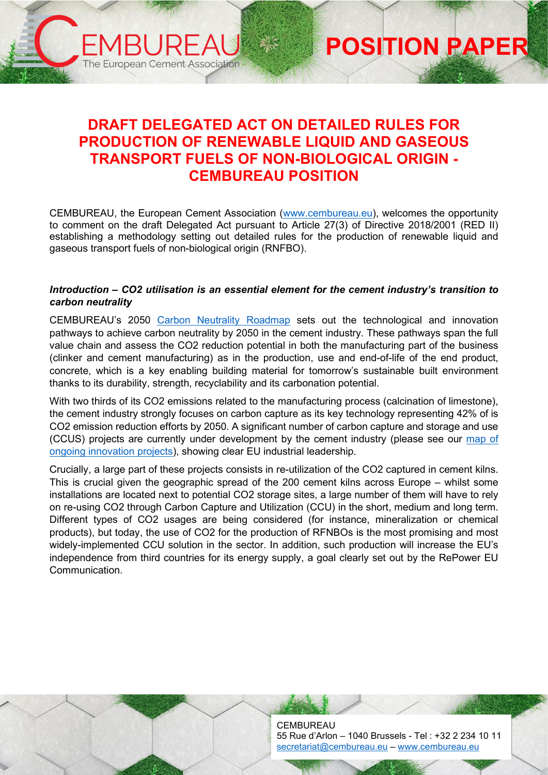# **DRAFT DELEGATED ACT ON DETAILED RULES FOR PRODUCTION OF RENEWABLE LIQUID AND GASEOUS TRANSPORT FUELS OF NON-BIOLOGICAL ORIGIN - CEMBUREAU POSITION**

ARI JE

The European Cement Association

**POSITION PAPER**

CEMBUREAU, the European Cement Association [\(www.cembureau.eu\)](http://www.cembureau.eu/), welcomes the opportunity to comment on the draft Delegated Act pursuant to Article 27(3) of Directive 2018/2001 (RED II) establishing a methodology setting out detailed rules for the production of renewable liquid and gaseous transport fuels of non-biological origin (RNFBO).

#### *Introduction – CO2 utilisation is an essential element for the cement industry's transition to carbon neutrality*

CEMBUREAU's 2050 [Carbon Neutrality Roadmap](https://cembureau.eu/library/reports/2050-carbon-neutrality-roadmap/) sets out the technological and innovation pathways to achieve carbon neutrality by 2050 in the cement industry. These pathways span the full value chain and assess the CO2 reduction potential in both the manufacturing part of the business (clinker and cement manufacturing) as in the production, use and end-of-life of the end product, concrete, which is a key enabling building material for tomorrow's sustainable built environment thanks to its durability, strength, recyclability and its carbonation potential.

With two thirds of its CO2 emissions related to the manufacturing process (calcination of limestone), the cement industry strongly focuses on carbon capture as its key technology representing 42% of is CO2 emission reduction efforts by 2050. A significant number of carbon capture and storage and use (CCUS) projects are currently under development by the cement industry (please see our map of [ongoing innovation projects\)](https://cembureau.eu/about-our-industry/innovation/map-of-innovation-projects/), showing clear EU industrial leadership.

Crucially, a large part of these projects consists in re-utilization of the CO2 captured in cement kilns. This is crucial given the geographic spread of the 200 cement kilns across Europe – whilst some installations are located next to potential CO2 storage sites, a large number of them will have to rely on re-using CO2 through Carbon Capture and Utilization (CCU) in the short, medium and long term. Different types of CO2 usages are being considered (for instance, mineralization or chemical products), but today, the use of CO2 for the production of RFNBOs is the most promising and most widely-implemented CCU solution in the sector. In addition, such production will increase the EU's independence from third countries for its energy supply, a goal clearly set out by the RePower EU Communication.

> **CEMBUREAU** 55 Rue d'Arlon – 1040 Brussels - Tel : +32 2 234 10 11 [secretariat@cembureau.eu](mailto:secretariat@cembureau.eu) – [www.cembureau.eu](http://www.cembureau.eu/)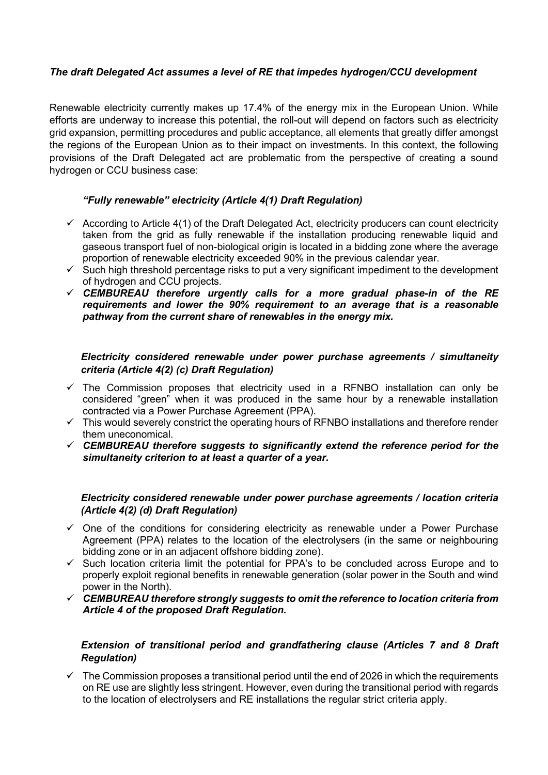## *The draft Delegated Act assumes a level of RE that impedes hydrogen/CCU development*

Renewable electricity currently makes up 17.4% of the energy mix in the European Union. While efforts are underway to increase this potential, the roll-out will depend on factors such as electricity grid expansion, permitting procedures and public acceptance, all elements that greatly differ amongst the regions of the European Union as to their impact on investments. In this context, the following provisions of the Draft Delegated act are problematic from the perspective of creating a sound hydrogen or CCU business case:

## *"Fully renewable" electricity (Article 4(1) Draft Regulation)*

- $\checkmark$  According to Article 4(1) of the Draft Delegated Act, electricity producers can count electricity taken from the grid as fully renewable if the installation producing renewable liquid and gaseous transport fuel of non-biological origin is located in a bidding zone where the average proportion of renewable electricity exceeded 90% in the previous calendar year.
- $\checkmark$  Such high threshold percentage risks to put a very significant impediment to the development of hydrogen and CCU projects.
- *CEMBUREAU therefore urgently calls for a more gradual phase-in of the RE requirements and lower the 90% requirement to an average that is a reasonable pathway from the current share of renewables in the energy mix.*

## *Electricity considered renewable under power purchase agreements / simultaneity criteria (Article 4(2) (c) Draft Regulation)*

- $\checkmark$  The Commission proposes that electricity used in a RFNBO installation can only be considered "green" when it was produced in the same hour by a renewable installation contracted via a Power Purchase Agreement (PPA).
- $\checkmark$  This would severely constrict the operating hours of RFNBO installations and therefore render them uneconomical.
- *CEMBUREAU therefore suggests to significantly extend the reference period for the simultaneity criterion to at least a quarter of a year.*

## *Electricity considered renewable under power purchase agreements / location criteria (Article 4(2) (d) Draft Regulation)*

- $\checkmark$  One of the conditions for considering electricity as renewable under a Power Purchase Agreement (PPA) relates to the location of the electrolysers (in the same or neighbouring bidding zone or in an adjacent offshore bidding zone).
- $\checkmark$  Such location criteria limit the potential for PPA's to be concluded across Europe and to properly exploit regional benefits in renewable generation (solar power in the South and wind power in the North).
- *CEMBUREAU therefore strongly suggests to omit the reference to location criteria from Article 4 of the proposed Draft Regulation.*

## *Extension of transitional period and grandfathering clause (Articles 7 and 8 Draft Regulation)*

 $\checkmark$  The Commission proposes a transitional period until the end of 2026 in which the requirements on RE use are slightly less stringent. However, even during the transitional period with regards to the location of electrolysers and RE installations the regular strict criteria apply.